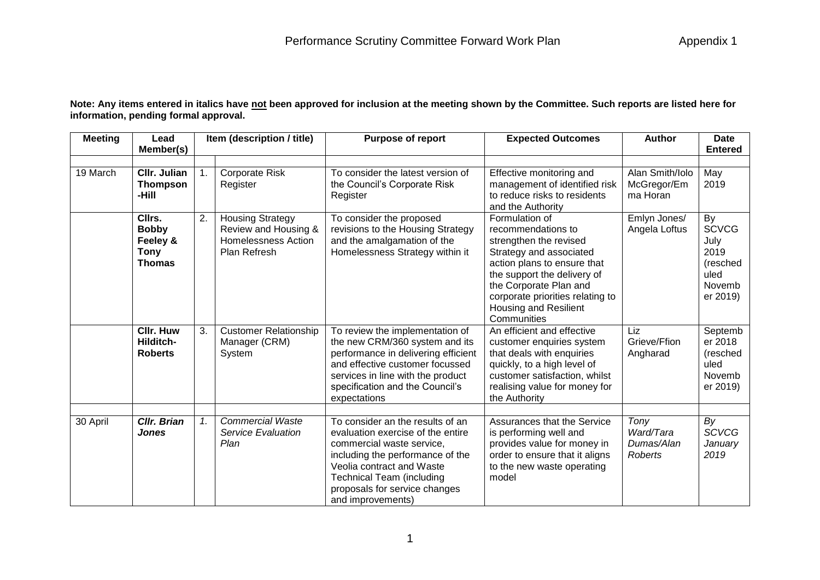**Note: Any items entered in italics have not been approved for inclusion at the meeting shown by the Committee. Such reports are listed here for information, pending formal approval.**

| <b>Meeting</b> | Lead<br>Member(s)                                                  |    | Item (description / title)                                                             | <b>Purpose of report</b>                                                                                                                                                                                                                                      | <b>Expected Outcomes</b>                                                                                                                                                                                                                                      | <b>Author</b>                              | <b>Date</b><br><b>Entered</b>                                                |
|----------------|--------------------------------------------------------------------|----|----------------------------------------------------------------------------------------|---------------------------------------------------------------------------------------------------------------------------------------------------------------------------------------------------------------------------------------------------------------|---------------------------------------------------------------------------------------------------------------------------------------------------------------------------------------------------------------------------------------------------------------|--------------------------------------------|------------------------------------------------------------------------------|
| 19 March       | <b>CIIr. Julian</b><br><b>Thompson</b><br>-Hill                    |    | <b>Corporate Risk</b><br>Register                                                      | To consider the latest version of<br>the Council's Corporate Risk<br>Register                                                                                                                                                                                 | Effective monitoring and<br>management of identified risk<br>to reduce risks to residents<br>and the Authority                                                                                                                                                | Alan Smith/Iolo<br>McGregor/Em<br>ma Horan | May<br>2019                                                                  |
|                | Cllrs.<br><b>Bobby</b><br>Feeley &<br><b>Tony</b><br><b>Thomas</b> | 2. | <b>Housing Strategy</b><br>Review and Housing &<br>Homelessness Action<br>Plan Refresh | To consider the proposed<br>revisions to the Housing Strategy<br>and the amalgamation of the<br>Homelessness Strategy within it                                                                                                                               | Formulation of<br>recommendations to<br>strengthen the revised<br>Strategy and associated<br>action plans to ensure that<br>the support the delivery of<br>the Corporate Plan and<br>corporate priorities relating to<br>Housing and Resilient<br>Communities | Emlyn Jones/<br>Angela Loftus              | By<br><b>SCVCG</b><br>July<br>2019<br>(resched<br>uled<br>Novemb<br>er 2019) |
|                | <b>CIIr. Huw</b><br>Hilditch-<br><b>Roberts</b>                    | 3. | <b>Customer Relationship</b><br>Manager (CRM)<br>System                                | To review the implementation of<br>the new CRM/360 system and its<br>performance in delivering efficient<br>and effective customer focussed<br>services in line with the product<br>specification and the Council's<br>expectations                           | An efficient and effective<br>customer enquiries system<br>that deals with enquiries<br>quickly, to a high level of<br>customer satisfaction, whilst<br>realising value for money for<br>the Authority                                                        | Liz<br>Grieve/Ffion<br>Angharad            | Septemb<br>er 2018<br>(resched<br>uled<br>Novemb<br>er 2019)                 |
| 30 April       | <b>Cllr. Brian</b><br><b>Jones</b>                                 | 1. | <b>Commercial Waste</b><br>Service Evaluation<br>Plan                                  | To consider an the results of an<br>evaluation exercise of the entire<br>commercial waste service,<br>including the performance of the<br>Veolia contract and Waste<br><b>Technical Team (including</b><br>proposals for service changes<br>and improvements) | Assurances that the Service<br>is performing well and<br>provides value for money in<br>order to ensure that it aligns<br>to the new waste operating<br>model                                                                                                 | Tony<br>Ward/Tara<br>Dumas/Alan<br>Roberts | By<br><b>SCVCG</b><br>January<br>2019                                        |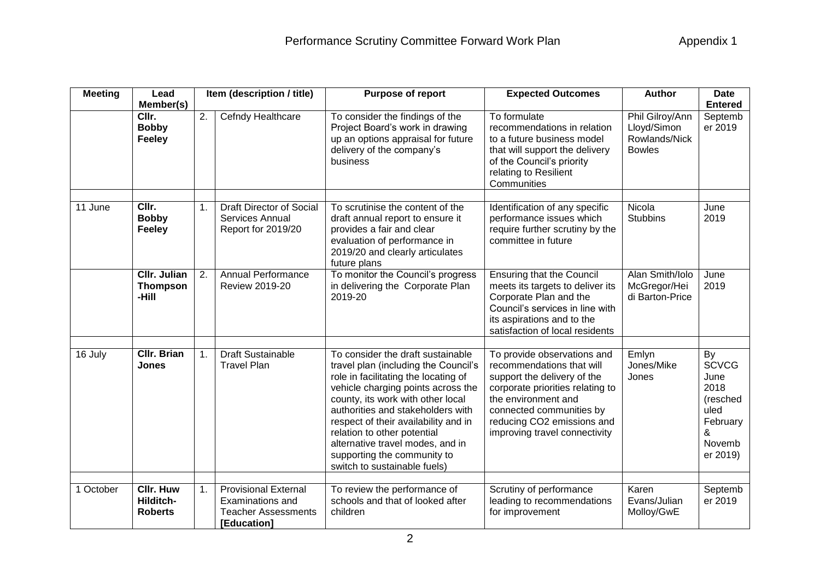| <b>Meeting</b> | Lead<br>Member(s)                               |                  | Item (description / title)                                                                   | Purpose of report                                                                                                                                                                                                                                                                                                                                                                                           | <b>Expected Outcomes</b>                                                                                                                                                                                                                      | <b>Author</b>                                                    | <b>Date</b><br><b>Entered</b>                                                                 |
|----------------|-------------------------------------------------|------------------|----------------------------------------------------------------------------------------------|-------------------------------------------------------------------------------------------------------------------------------------------------------------------------------------------------------------------------------------------------------------------------------------------------------------------------------------------------------------------------------------------------------------|-----------------------------------------------------------------------------------------------------------------------------------------------------------------------------------------------------------------------------------------------|------------------------------------------------------------------|-----------------------------------------------------------------------------------------------|
|                | CIIr.<br><b>Bobby</b><br><b>Feeley</b>          | $\overline{2}$ . | Cefndy Healthcare                                                                            | To consider the findings of the<br>Project Board's work in drawing<br>up an options appraisal for future<br>delivery of the company's<br>business                                                                                                                                                                                                                                                           | To formulate<br>recommendations in relation<br>to a future business model<br>that will support the delivery<br>of the Council's priority<br>relating to Resilient<br>Communities                                                              | Phil Gilroy/Ann<br>Lloyd/Simon<br>Rowlands/Nick<br><b>Bowles</b> | Septemb<br>er 2019                                                                            |
| 11 June        | CIIr.<br><b>Bobby</b><br>Feeley                 | 1.               | <b>Draft Director of Social</b><br>Services Annual<br>Report for 2019/20                     | To scrutinise the content of the<br>draft annual report to ensure it<br>provides a fair and clear<br>evaluation of performance in<br>2019/20 and clearly articulates<br>future plans                                                                                                                                                                                                                        | Identification of any specific<br>performance issues which<br>require further scrutiny by the<br>committee in future                                                                                                                          | Nicola<br><b>Stubbins</b>                                        | June<br>2019                                                                                  |
|                | <b>CIIr. Julian</b><br><b>Thompson</b><br>-Hill | 2.               | <b>Annual Performance</b><br><b>Review 2019-20</b>                                           | To monitor the Council's progress<br>in delivering the Corporate Plan<br>2019-20                                                                                                                                                                                                                                                                                                                            | <b>Ensuring that the Council</b><br>meets its targets to deliver its<br>Corporate Plan and the<br>Council's services in line with<br>its aspirations and to the<br>satisfaction of local residents                                            | Alan Smith/Iolo<br>McGregor/Hei<br>di Barton-Price               | June<br>2019                                                                                  |
| 16 July        | <b>CIIr. Brian</b><br>Jones                     | 1.               | <b>Draft Sustainable</b><br><b>Travel Plan</b>                                               | To consider the draft sustainable<br>travel plan (including the Council's<br>role in facilitating the locating of<br>vehicle charging points across the<br>county, its work with other local<br>authorities and stakeholders with<br>respect of their availability and in<br>relation to other potential<br>alternative travel modes, and in<br>supporting the community to<br>switch to sustainable fuels) | To provide observations and<br>recommendations that will<br>support the delivery of the<br>corporate priorities relating to<br>the environment and<br>connected communities by<br>reducing CO2 emissions and<br>improving travel connectivity | Emlyn<br>Jones/Mike<br>Jones                                     | By<br><b>SCVCG</b><br>June<br>2018<br>(resched<br>uled<br>February<br>&<br>Novemb<br>er 2019) |
| 1 October      | <b>CIIr. Huw</b><br>Hilditch-<br><b>Roberts</b> | 1.               | <b>Provisional External</b><br>Examinations and<br><b>Teacher Assessments</b><br>[Education] | To review the performance of<br>schools and that of looked after<br>children                                                                                                                                                                                                                                                                                                                                | Scrutiny of performance<br>leading to recommendations<br>for improvement                                                                                                                                                                      | Karen<br>Evans/Julian<br>Molloy/GwE                              | Septemb<br>er 2019                                                                            |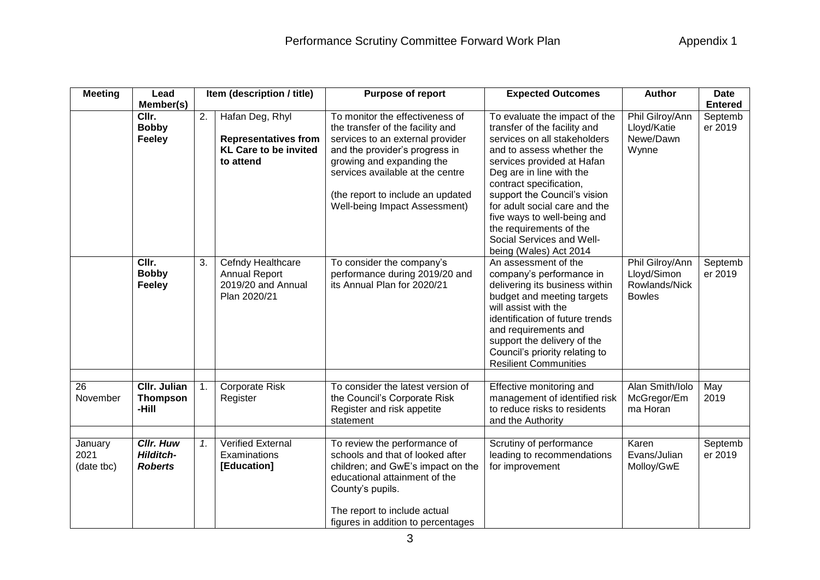| <b>Meeting</b>                | Lead<br>Item (description / title)                     |                |                                                                                             | Purpose of report                                                                                                                                                                                                                                                                | <b>Expected Outcomes</b>                                                                                                                                                                                                                                                                                                                                                                          | <b>Author</b>                                                    | <b>Date</b>        |  |
|-------------------------------|--------------------------------------------------------|----------------|---------------------------------------------------------------------------------------------|----------------------------------------------------------------------------------------------------------------------------------------------------------------------------------------------------------------------------------------------------------------------------------|---------------------------------------------------------------------------------------------------------------------------------------------------------------------------------------------------------------------------------------------------------------------------------------------------------------------------------------------------------------------------------------------------|------------------------------------------------------------------|--------------------|--|
|                               | Member(s)                                              |                |                                                                                             |                                                                                                                                                                                                                                                                                  |                                                                                                                                                                                                                                                                                                                                                                                                   |                                                                  | <b>Entered</b>     |  |
|                               | CIIr.<br><b>Bobby</b><br><b>Feeley</b>                 | 2.             | Hafan Deg, Rhyl<br><b>Representatives from</b><br><b>KL Care to be invited</b><br>to attend | To monitor the effectiveness of<br>the transfer of the facility and<br>services to an external provider<br>and the provider's progress in<br>growing and expanding the<br>services available at the centre<br>(the report to include an updated<br>Well-being Impact Assessment) | To evaluate the impact of the<br>transfer of the facility and<br>services on all stakeholders<br>and to assess whether the<br>services provided at Hafan<br>Deg are in line with the<br>contract specification,<br>support the Council's vision<br>for adult social care and the<br>five ways to well-being and<br>the requirements of the<br>Social Services and Well-<br>being (Wales) Act 2014 | Phil Gilroy/Ann<br>Lloyd/Katie<br>Newe/Dawn<br>Wynne             | Septemb<br>er 2019 |  |
|                               | CIIr.<br><b>Bobby</b><br><b>Feeley</b>                 | 3.             | Cefndy Healthcare<br><b>Annual Report</b><br>2019/20 and Annual<br>Plan 2020/21             | To consider the company's<br>performance during 2019/20 and<br>its Annual Plan for 2020/21                                                                                                                                                                                       | An assessment of the<br>company's performance in<br>delivering its business within<br>budget and meeting targets<br>will assist with the<br>identification of future trends<br>and requirements and<br>support the delivery of the<br>Council's priority relating to<br><b>Resilient Communities</b>                                                                                              | Phil Gilroy/Ann<br>Lloyd/Simon<br>Rowlands/Nick<br><b>Bowles</b> | Septemb<br>er 2019 |  |
| 26<br>November                | CIIr. Julian<br><b>Thompson</b><br>-Hill               | $\mathbf{1}$ . | <b>Corporate Risk</b><br>Register                                                           | To consider the latest version of<br>the Council's Corporate Risk<br>Register and risk appetite<br>statement                                                                                                                                                                     | Effective monitoring and<br>management of identified risk<br>to reduce risks to residents<br>and the Authority                                                                                                                                                                                                                                                                                    | Alan Smith/Iolo<br>McGregor/Em<br>ma Horan                       | May<br>2019        |  |
| January<br>2021<br>(date tbc) | <b>Cllr. Huw</b><br><b>Hilditch-</b><br><b>Roberts</b> | 1.             | <b>Verified External</b><br>Examinations<br>[Education]                                     | To review the performance of<br>schools and that of looked after<br>children; and GwE's impact on the<br>educational attainment of the<br>County's pupils.<br>The report to include actual<br>figures in addition to percentages                                                 | Scrutiny of performance<br>leading to recommendations<br>for improvement                                                                                                                                                                                                                                                                                                                          | Karen<br>Evans/Julian<br>Molloy/GwE                              | Septemb<br>er 2019 |  |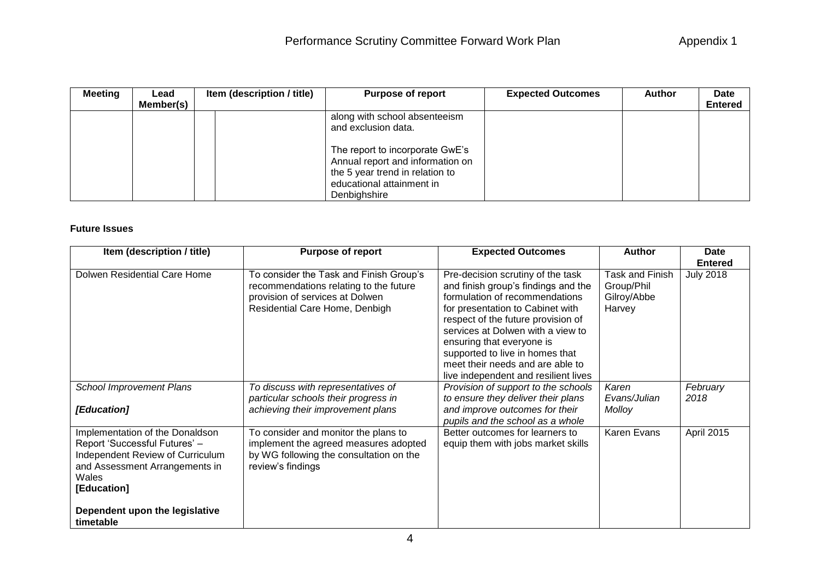| <b>Meeting</b> | Lead      | Item (description / title) | <b>Purpose of report</b>                                                                                                                                                                                    | <b>Expected Outcomes</b> | <b>Author</b> | Date           |
|----------------|-----------|----------------------------|-------------------------------------------------------------------------------------------------------------------------------------------------------------------------------------------------------------|--------------------------|---------------|----------------|
|                | Member(s) |                            |                                                                                                                                                                                                             |                          |               | <b>Entered</b> |
|                |           |                            | along with school absenteeism<br>and exclusion data.<br>The report to incorporate GwE's<br>Annual report and information on<br>the 5 year trend in relation to<br>educational attainment in<br>Denbighshire |                          |               |                |

## **Future Issues**

| Item (description / title)                                                                                                                                     | <b>Purpose of report</b>                                                                                                                               | <b>Expected Outcomes</b>                                                                                                                                                                                                                                                                                                                                              | <b>Author</b>                                          | <b>Date</b>      |
|----------------------------------------------------------------------------------------------------------------------------------------------------------------|--------------------------------------------------------------------------------------------------------------------------------------------------------|-----------------------------------------------------------------------------------------------------------------------------------------------------------------------------------------------------------------------------------------------------------------------------------------------------------------------------------------------------------------------|--------------------------------------------------------|------------------|
|                                                                                                                                                                |                                                                                                                                                        |                                                                                                                                                                                                                                                                                                                                                                       |                                                        | <b>Entered</b>   |
| Dolwen Residential Care Home                                                                                                                                   | To consider the Task and Finish Group's<br>recommendations relating to the future<br>provision of services at Dolwen<br>Residential Care Home, Denbigh | Pre-decision scrutiny of the task<br>and finish group's findings and the<br>formulation of recommendations<br>for presentation to Cabinet with<br>respect of the future provision of<br>services at Dolwen with a view to<br>ensuring that everyone is<br>supported to live in homes that<br>meet their needs and are able to<br>live independent and resilient lives | Task and Finish<br>Group/Phil<br>Gilroy/Abbe<br>Harvey | <b>July 2018</b> |
| <b>School Improvement Plans</b><br>[Education]                                                                                                                 | To discuss with representatives of<br>particular schools their progress in<br>achieving their improvement plans                                        | Provision of support to the schools<br>to ensure they deliver their plans<br>and improve outcomes for their<br>pupils and the school as a whole                                                                                                                                                                                                                       | Karen<br>Evans/Julian<br>Molloy                        | February<br>2018 |
| Implementation of the Donaldson<br>Report 'Successful Futures' -<br>Independent Review of Curriculum<br>and Assessment Arrangements in<br>Wales<br>[Education] | To consider and monitor the plans to<br>implement the agreed measures adopted<br>by WG following the consultation on the<br>review's findings          | Better outcomes for learners to<br>equip them with jobs market skills                                                                                                                                                                                                                                                                                                 | Karen Evans                                            | April 2015       |
| Dependent upon the legislative<br>timetable                                                                                                                    |                                                                                                                                                        |                                                                                                                                                                                                                                                                                                                                                                       |                                                        |                  |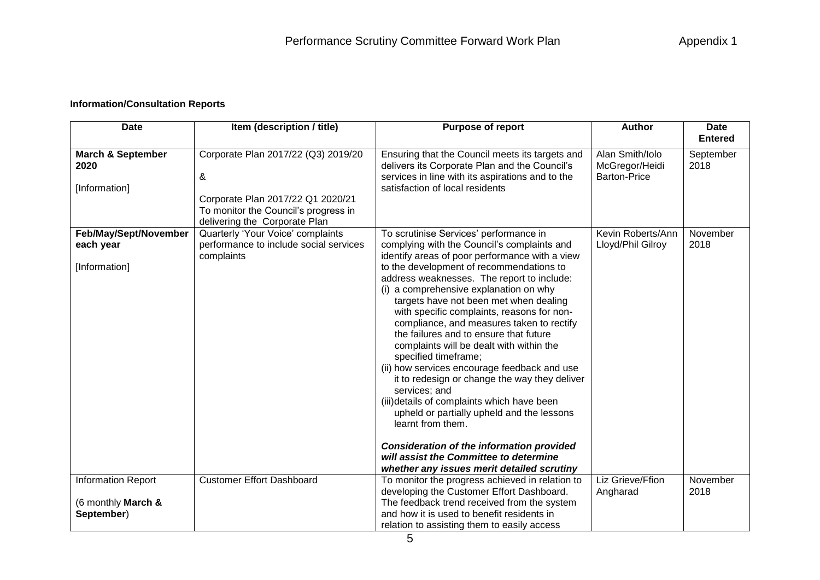## **Information/Consultation Reports**

| <b>Date</b>                                           | Item (description / title)                                                                                                                             | <b>Purpose of report</b>                                                                                                                                                                                                                                                                                                                                                                                                                                                                                                                                                                                                                                                                                                                                                                                                                                                                                      | <b>Author</b>                                            | <b>Date</b>       |  |
|-------------------------------------------------------|--------------------------------------------------------------------------------------------------------------------------------------------------------|---------------------------------------------------------------------------------------------------------------------------------------------------------------------------------------------------------------------------------------------------------------------------------------------------------------------------------------------------------------------------------------------------------------------------------------------------------------------------------------------------------------------------------------------------------------------------------------------------------------------------------------------------------------------------------------------------------------------------------------------------------------------------------------------------------------------------------------------------------------------------------------------------------------|----------------------------------------------------------|-------------------|--|
|                                                       |                                                                                                                                                        |                                                                                                                                                                                                                                                                                                                                                                                                                                                                                                                                                                                                                                                                                                                                                                                                                                                                                                               |                                                          | <b>Entered</b>    |  |
| <b>March &amp; September</b><br>2020<br>[Information] | Corporate Plan 2017/22 (Q3) 2019/20<br>&<br>Corporate Plan 2017/22 Q1 2020/21<br>To monitor the Council's progress in<br>delivering the Corporate Plan | Ensuring that the Council meets its targets and<br>delivers its Corporate Plan and the Council's<br>services in line with its aspirations and to the<br>satisfaction of local residents                                                                                                                                                                                                                                                                                                                                                                                                                                                                                                                                                                                                                                                                                                                       | Alan Smith/Iolo<br>McGregor/Heidi<br><b>Barton-Price</b> | September<br>2018 |  |
| Feb/May/Sept/November<br>each year<br>[Information]   | Quarterly 'Your Voice' complaints<br>performance to include social services<br>complaints                                                              | To scrutinise Services' performance in<br>complying with the Council's complaints and<br>identify areas of poor performance with a view<br>to the development of recommendations to<br>address weaknesses. The report to include:<br>(i) a comprehensive explanation on why<br>targets have not been met when dealing<br>with specific complaints, reasons for non-<br>compliance, and measures taken to rectify<br>the failures and to ensure that future<br>complaints will be dealt with within the<br>specified timeframe;<br>(ii) how services encourage feedback and use<br>it to redesign or change the way they deliver<br>services; and<br>(iii)details of complaints which have been<br>upheld or partially upheld and the lessons<br>learnt from them.<br><b>Consideration of the information provided</b><br>will assist the Committee to determine<br>whether any issues merit detailed scrutiny | Kevin Roberts/Ann<br>Lloyd/Phil Gilroy                   | November<br>2018  |  |
| <b>Information Report</b>                             | <b>Customer Effort Dashboard</b>                                                                                                                       | To monitor the progress achieved in relation to                                                                                                                                                                                                                                                                                                                                                                                                                                                                                                                                                                                                                                                                                                                                                                                                                                                               | Liz Grieve/Ffion                                         | November          |  |
| (6 monthly March &<br>September)                      |                                                                                                                                                        | developing the Customer Effort Dashboard.<br>The feedback trend received from the system<br>and how it is used to benefit residents in<br>relation to assisting them to easily access                                                                                                                                                                                                                                                                                                                                                                                                                                                                                                                                                                                                                                                                                                                         | Angharad                                                 | 2018              |  |